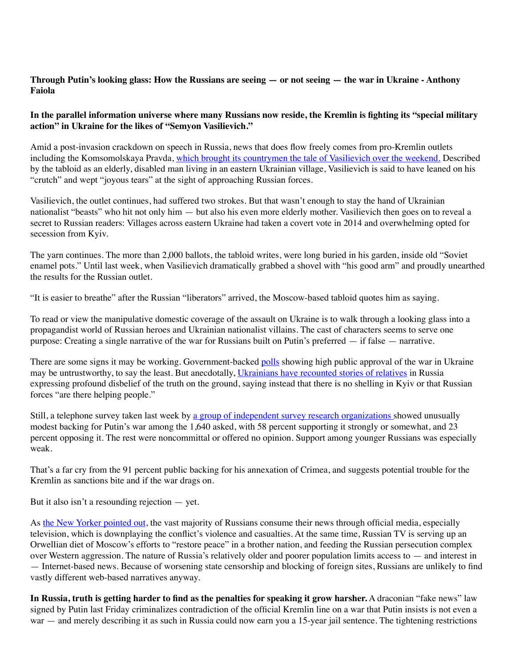## **Through Putin's looking glass: How the Russians are seeing — or not seeing — the war in Ukraine - Anthony Faiola**

## **In the parallel information universe where many Russians now reside, the Kremlin is fighting its "special military action" in Ukraine for the likes of "Semyon Vasilievich."**

Amid a post-invasion crackdown on speech in Russia, news that does flow freely comes from pro-Kremlin outlets including the Komsomolskaya Pravda, [which brought its countrymen the tale of Vasilievich over the weekend.](https://www.kp.ru/daily/27373/4555041/) Described by the tabloid as an elderly, disabled man living in an eastern Ukrainian village, Vasilievich is said to have leaned on his "crutch" and wept "joyous tears" at the sight of approaching Russian forces.

Vasilievich, the outlet continues, had suffered two strokes. But that wasn't enough to stay the hand of Ukrainian nationalist "beasts" who hit not only him — but also his even more elderly mother. Vasilievich then goes on to reveal a secret to Russian readers: Villages across eastern Ukraine had taken a covert vote in 2014 and overwhelming opted for secession from Kyiv.

The yarn continues. The more than 2,000 ballots, the tabloid writes, were long buried in his garden, inside old "Soviet enamel pots." Until last week, when Vasilievich dramatically grabbed a shovel with "his good arm" and proudly unearthed the results for the Russian outlet.

"It is easier to breathe" after the Russian "liberators" arrived, the Moscow-based tabloid quotes him as saying.

To read or view the manipulative domestic coverage of the assault on Ukraine is to walk through a looking glass into a propagandist world of Russian heroes and Ukrainian nationalist villains. The cast of characters seems to serve one purpose: Creating a single narrative of the war for Russians built on Putin's preferred — if false — narrative.

There are some signs it may be working. Government-backed [polls](https://www.abc.net.au/news/2022-03-05/russian-support-for-putin-ukraine-invasion/100881316) showing high public approval of the war in Ukraine may be untrustworthy, to say the least. But anecdotally, [Ukrainians have recounted stories of relatives](https://www.nytimes.com/2022/03/06/world/europe/ukraine-russia-families.html) in Russia expressing profound disbelief of the truth on the ground, saying instead that there is no shelling in Kyiv or that Russian forces "are there helping people."

Still, a telephone survey taken last week by [a group of independent survey research organizations](https://dropmefiles.net/en/4xBmQWR36) showed unusually modest backing for Putin's war among the 1,640 asked, with 58 percent supporting it strongly or somewhat, and 23 percent opposing it. The rest were noncommittal or offered no opinion. Support among younger Russians was especially weak.

That's a far cry from the 91 percent public backing for his annexation of Crimea, and suggests potential trouble for the Kremlin as sanctions bite and if the war drags on.

But it also isn't a resounding rejection — yet.

As [the New Yorker pointed out,](https://www.newyorker.com/news/dispatch/03/14/the-war-that-russians-do-not-see) the vast majority of Russians consume their news through official media, especially television, which is downplaying the conflict's violence and casualties. At the same time, Russian TV is serving up an Orwellian diet of Moscow's efforts to "restore peace" in a brother nation, and feeding the Russian persecution complex over Western aggression. The nature of Russia's relatively older and poorer population limits access to — and interest in — Internet-based news. Because of worsening state censorship and blocking of foreign sites, Russians are unlikely to find vastly different web-based narratives anyway.

**In Russia, truth is getting harder to find as the penalties for speaking it grow harsher.** A draconian "fake news" law signed by Putin last Friday criminalizes contradiction of the official Kremlin line on a war that Putin insists is not even a war — and merely describing it as such in Russia could now earn you a 15-year jail sentence. The tightening restrictions